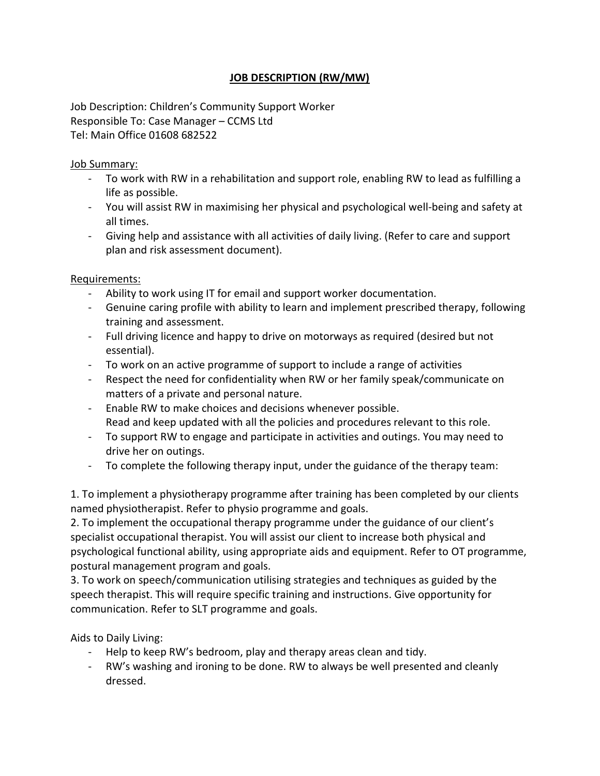## JOB DESCRIPTION (RW/MW)

Job Description: Children's Community Support Worker Responsible To: Case Manager – CCMS Ltd Tel: Main Office 01608 682522

## Job Summary:

- To work with RW in a rehabilitation and support role, enabling RW to lead as fulfilling a life as possible.
- You will assist RW in maximising her physical and psychological well-being and safety at all times.
- Giving help and assistance with all activities of daily living. (Refer to care and support plan and risk assessment document).

## Requirements:

- Ability to work using IT for email and support worker documentation.
- Genuine caring profile with ability to learn and implement prescribed therapy, following training and assessment.
- Full driving licence and happy to drive on motorways as required (desired but not essential).
- To work on an active programme of support to include a range of activities
- Respect the need for confidentiality when RW or her family speak/communicate on matters of a private and personal nature.
- Enable RW to make choices and decisions whenever possible. Read and keep updated with all the policies and procedures relevant to this role.
- To support RW to engage and participate in activities and outings. You may need to drive her on outings.
- To complete the following therapy input, under the guidance of the therapy team:

1. To implement a physiotherapy programme after training has been completed by our clients named physiotherapist. Refer to physio programme and goals.

2. To implement the occupational therapy programme under the guidance of our client's specialist occupational therapist. You will assist our client to increase both physical and psychological functional ability, using appropriate aids and equipment. Refer to OT programme, postural management program and goals.

3. To work on speech/communication utilising strategies and techniques as guided by the speech therapist. This will require specific training and instructions. Give opportunity for communication. Refer to SLT programme and goals.

Aids to Daily Living:

- Help to keep RW's bedroom, play and therapy areas clean and tidy.
- RW's washing and ironing to be done. RW to always be well presented and cleanly dressed.